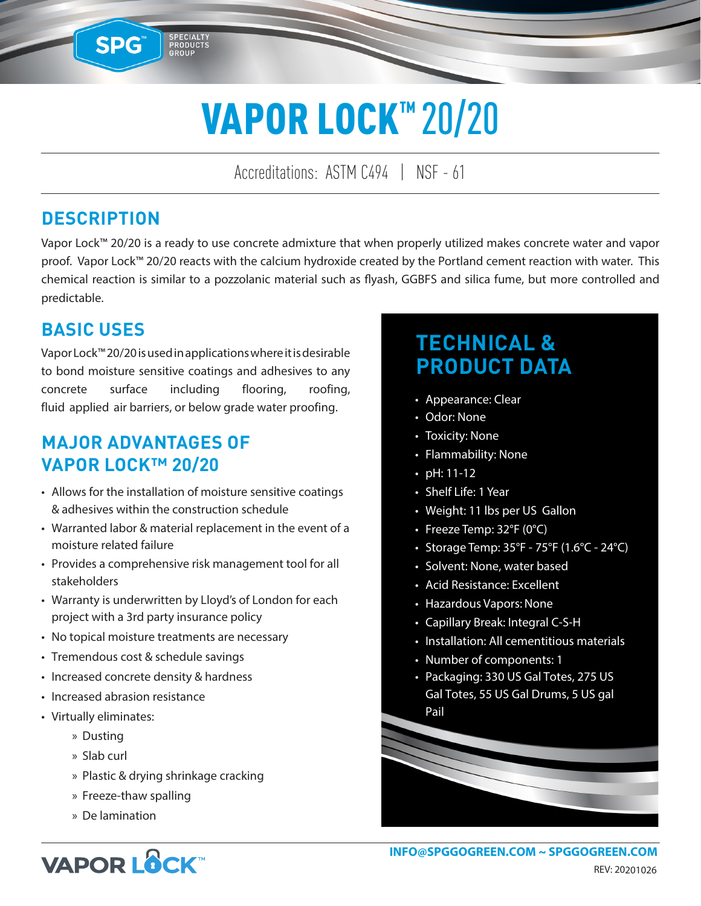# VAPOR LOCK™ 20/20

Accreditations: ASTM C494 | NSF - 61

#### **DESCRIPTION**

SPG™

SPECIALTY<br>PRODUCTS<br>GROUP

Vapor Lock™ 20/20 is a ready to use concrete admixture that when properly utilized makes concrete water and vapor proof. Vapor Lock™ 20/20 reacts with the calcium hydroxide created by the Portland cement reaction with water. This chemical reaction is similar to a pozzolanic material such as flyash, GGBFS and silica fume, but more controlled and predictable.

#### **BASIC USES**

Vapor Lock™ 20/20 is used in applications where it is desirable to bond moisture sensitive coatings and adhesives to any concrete surface including flooring, roofing, fluid applied air barriers, or below grade water proofing.

#### **MAJOR ADVANTAGES OF VAPOR LOCK™ 20/20**

- Allows for the installation of moisture sensitive coatings & adhesives within the construction schedule
- Warranted labor & material replacement in the event of a moisture related failure
- Provides a comprehensive risk management tool for all stakeholders
- Warranty is underwritten by Lloyd's of London for each project with a 3rd party insurance policy
- No topical moisture treatments are necessary
- Tremendous cost & schedule savings
- Increased concrete density & hardness
- Increased abrasion resistance
- Virtually eliminates:
	- » Dusting
	- » Slab curl
	- » Plastic & drying shrinkage cracking
	- » Freeze-thaw spalling
	- » De lamination

## **TECHNICAL & PRODUCT DATA**

- Appearance: Clear
- Odor: None
- Toxicity: None
- Flammability: None
- pH: 11-12
- Shelf Life: 1 Year
- Weight: 11 lbs per US Gallon
- Freeze Temp: 32°F (0°C)
- Storage Temp: 35°F 75°F (1.6°C 24°C)
- Solvent: None, water based
- Acid Resistance: Excellent
- Hazardous Vapors: None
- Capillary Break: Integral C-S-H
- Installation: All cementitious materials
- Number of components: 1
- Packaging: 330 US Gal Totes, 275 US Gal Totes, 55 US Gal Drums, 5 US gal Pail